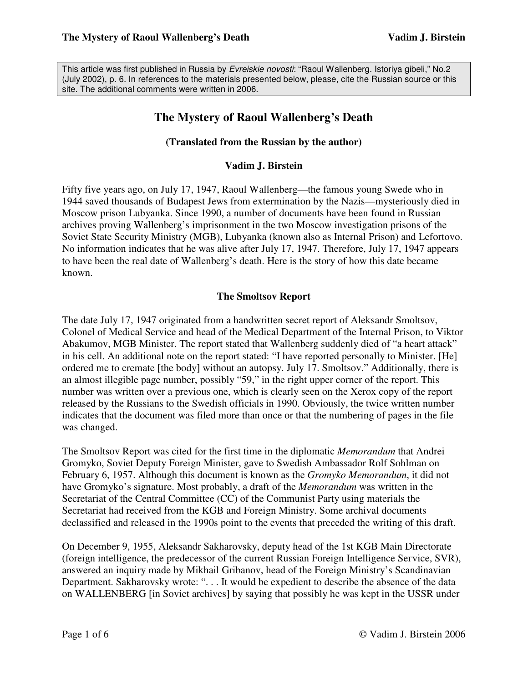This article was first published in Russia by Evreiskie novosti: "Raoul Wallenberg. Istoriya gibeli," No.2 (July 2002), p. 6. In references to the materials presented below, please, cite the Russian source or this site. The additional comments were written in 2006.

# **The Mystery of Raoul Wallenberg's Death**

# **(Translated from the Russian by the author)**

## **Vadim J. Birstein**

Fifty five years ago, on July 17, 1947, Raoul Wallenberg—the famous young Swede who in 1944 saved thousands of Budapest Jews from extermination by the Nazis—mysteriously died in Moscow prison Lubyanka. Since 1990, a number of documents have been found in Russian archives proving Wallenberg's imprisonment in the two Moscow investigation prisons of the Soviet State Security Ministry (MGB), Lubyanka (known also as Internal Prison) and Lefortovo. No information indicates that he was alive after July 17, 1947. Therefore, July 17, 1947 appears to have been the real date of Wallenberg's death. Here is the story of how this date became known.

#### **The Smoltsov Report**

The date July 17, 1947 originated from a handwritten secret report of Aleksandr Smoltsov, Colonel of Medical Service and head of the Medical Department of the Internal Prison, to Viktor Abakumov, MGB Minister. The report stated that Wallenberg suddenly died of "a heart attack" in his cell. An additional note on the report stated: "I have reported personally to Minister. [He] ordered me to cremate [the body] without an autopsy. July 17. Smoltsov." Additionally, there is an almost illegible page number, possibly "59," in the right upper corner of the report. This number was written over a previous one, which is clearly seen on the Xerox copy of the report released by the Russians to the Swedish officials in 1990. Obviously, the twice written number indicates that the document was filed more than once or that the numbering of pages in the file was changed.

The Smoltsov Report was cited for the first time in the diplomatic *Memorandum* that Andrei Gromyko, Soviet Deputy Foreign Minister, gave to Swedish Ambassador Rolf Sohlman on February 6, 1957. Although this document is known as the *Gromyko Memorandum*, it did not have Gromyko's signature. Most probably, a draft of the *Memorandum* was written in the Secretariat of the Central Committee (CC) of the Communist Party using materials the Secretariat had received from the KGB and Foreign Ministry. Some archival documents declassified and released in the 1990s point to the events that preceded the writing of this draft.

On December 9, 1955, Aleksandr Sakharovsky, deputy head of the 1st KGB Main Directorate (foreign intelligence, the predecessor of the current Russian Foreign Intelligence Seгvice, SVR), answered an inquiry made by Mikhail Gribanov, head of the Foreign Ministry's Scandinavian Department. Sakharovsky wrote: ". . . It would be expedient to describe the absence of the data on WALLENBERG [in Soviet archives] by saying that possibly he was kept in the USSR under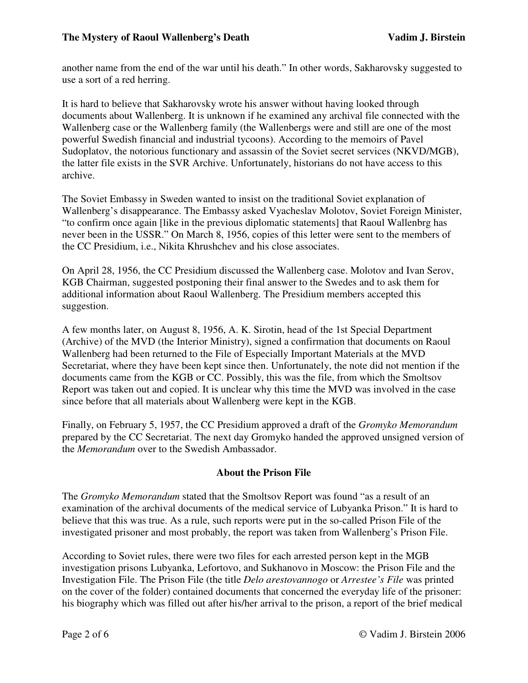another name from the end of the war until his death." In other words, Sakharovsky suggested to use a sort of a red herring.

It is hard to believe that Sakharovsky wrote his answer without having looked through documents about Wallenberg. It is unknown if he examined any archival file connected with the Wallenberg case or the Wallenberg family (the Wallenbergs were and still are one of the most powerful Swedish financial and industrial tycoons). According to the memoirs of Pavel Sudoplatov, the notorious functionary and assassin of the Soviet secret services (NKVD/MGB), the latter file exists in the SVR Archive. Unfortunately, historians do not have access to this archive.

The Soviet Embassy in Sweden wanted to insist on the traditional Soviet explanation of Wallenberg's disappearance. The Embassy asked Vyacheslav Molotov, Soviet Foreign Minister, "to confirm once again [like in the previous diplomatic statements] that Raoul Wallenbrg has never been in the USSR." On March 8, 1956, copies of this letter were sent to the members of the CC Presidium, i.e., Nikita Khrushchev and his close associates.

On April 28, 1956, the CC Presidium discussed the Wallenberg case. Molotov and Ivan Serov, KGB Chairman, suggested postponing their final answer to the Swedes and to ask them for additional information about Raoul Wallenberg. The Presidium members accepted this suggestion.

A few months later, on August 8, 1956, A. K. Sirotin, head of the 1st Special Department (Archive) of the MVD (the Interior Ministry), signed a confirmation that documents on Raoul Wallenberg had been returned to the File of Especially Important Materials at the MVD Secretariat, where they have been kept since then. Unfortunately, the note did not mention if the documents came from the KGB or CC. Possibly, this was the file, from which the Smoltsov Report was taken out and copied. It is unclear why this time the MVD was involved in the case since before that all materials about Wallenberg were kept in the KGB.

Finally, on February 5, 1957, the CC Presidium approved a draft of the *Gromyko Memorandum*  prepared by the CC Secretariat. The next day Gromyko handed the approved unsigned version of the *Memorandum* over to the Swedish Ambassador.

# **About the Prison File**

The *Gromyko Memorandum* stated that the Smoltsov Report was found "as a result of an examination of the archival documents of the medical service of Lubyanka Prison." It is hard to believe that this was true. As a rule, such reports were put in the so-called Prison File of the investigated prisoner and most probably, the report was taken from Wallenberg's Prison File.

According to Soviet rules, there were two files for each arrested person kept in the MGB investigation prisons Lubyanka, Lefortovo, and Sukhanovo in Moscow: the Prison File and the Investigation File. The Prison File (the title *Delo arestovannogo* or *Arrestee's File* was printed on the cover of the folder) contained documents that concerned the everyday life of the prisoner: his biography which was filled out after his/her arrival to the prison, a report of the brief medical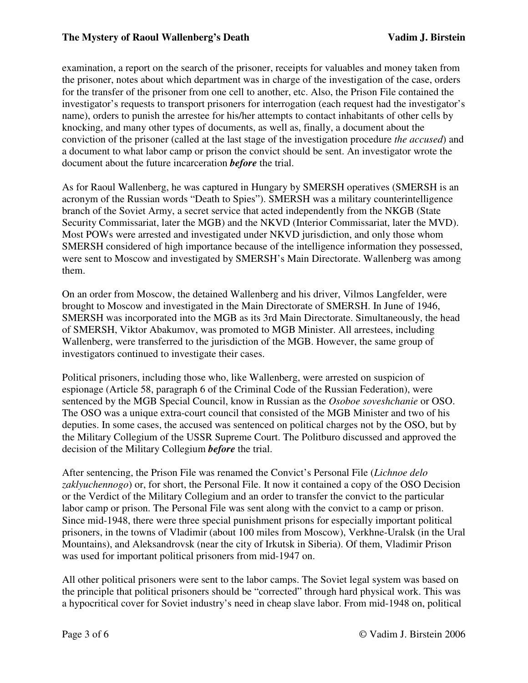examination, a report on the search of the prisoner, receipts for valuables and money taken from the prisoner, notes about which department was in charge of the investigation of the case, orders for the transfer of the prisoner from one cell to another, etc. Also, the Prison File contained the investigator's requests to transport prisoners for interrogation (each request had the investigator's name), orders to punish the arrestee for his/her attempts to contact inhabitants of other cells by knocking, and many other types of documents, as well as, finally, a document about the conviction of the prisoner (called at the last stage of the investigation procedure *the accused*) and a document to what labor camp or prison the convict should be sent. An investigator wrote the document about the future incarceration *before* the trial.

As for Raoul Wallenberg, he was captured in Hungary by SMERSH operatives (SMERSH is an acronym of the Russian words "Death to Spies"). SMERSH was a military counterintelligence branch of the Soviet Army, a secret service that acted independently from the NKGB (State Security Commissariat, later the MGB) and the NKVD (Interior Commissariat, later the MVD). Most POWs were arrested and investigated under NKVD jurisdiction, and only those whom SMERSH considered of high importance because of the intelligence information they possessed, were sent to Moscow and investigated by SMERSH's Main Directorate. Wallenberg was among them.

On an order from Moscow, the detained Wallenberg and his driver, Vilmos Langfelder, were brought to Moscow and investigated in the Main Directorate of SMERSH. In June of 1946, SMERSH was incorporated into the MGB as its 3rd Main Directorate. Simultaneously, the head of SMERSH, Viktor Abakumov, was promoted to MGB Minister. All arrestees, including Wallenberg, were transferred to the jurisdiction of the MGB. However, the same group of investigators continued to investigate their cases.

Political prisoners, including those who, like Wallenberg, were arrested on suspicion of espionage (Article 58, paragraph 6 of the Criminal Code of the Russian Federation), were sentenced by the MGB Special Council, know in Russian as the *Osoboe soveshchanie* or OSO. The OSO was a unique extra-court council that consisted of the MGB Minister and two of his deputies. In some cases, the accused was sentenced on political charges not by the OSO, but by the Military Collegium of the USSR Supreme Court. The Politburo discussed and approved the decision of the Military Collegium *before* the trial.

After sentencing, the Prison File was renamed the Convict's Personal File (*Lichnoe delo zaklyuchennogo*) or, for short, the Personal File. It now it contained a copy of the OSO Decision or the Verdict of the Military Collegium and an order to transfer the convict to the particular labor camp or prison. The Personal File was sent along with the convict to a camp or prison. Since mid-1948, there were three special punishment prisons for especially important political prisoners, in the towns of Vladimir (about 100 miles from Moscow), Verkhne-Uralsk (in the Ural Mountains), and Aleksandrovsk (near the city of Irkutsk in Siberia). Of them, Vladimir Prison was used for important political prisoners from mid-1947 on.

All other political prisoners were sent to the labor camps. The Soviet legal system was based on the principle that political prisoners should be "corrected" through hard physical work. This was a hypocritical cover for Soviet industry's need in cheap slave labor. From mid-1948 on, political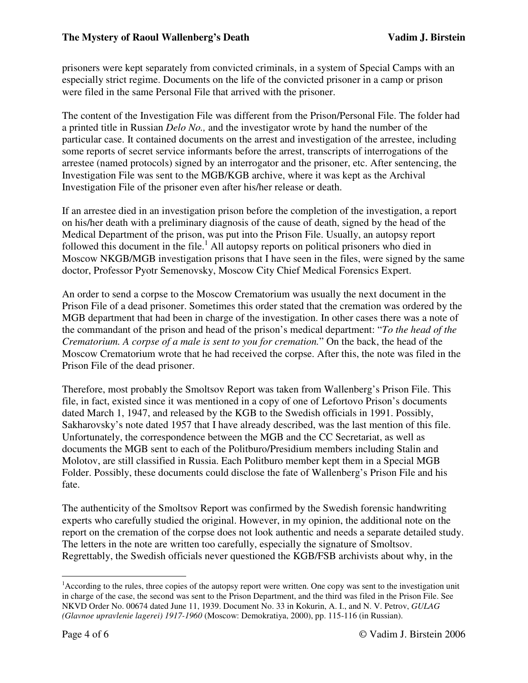prisoners were kept separately from convicted criminals, in a system of Special Camps with an especially strict regime. Documents on the life of the convicted prisoner in a camp or prison were filed in the same Personal File that arrived with the prisoner.

The content of the Investigation File was different from the Prison/Personal File. The folder had a printed title in Russian *Delo No.,* and the investigator wrote by hand the number of the particular case. It contained documents on the arrest and investigation of the arrestee, including some reports of secret service informants before the arrest, transcripts of interrogations of the arrestee (named protocols) signed by an interrogator and the prisoner, etc. After sentencing, the Investigation File was sent to the MGB/KGB archive, where it was kept as the Archival Investigation File of the prisoner even after his/her release or death.

If an arrestee died in an investigation prison before the completion of the investigation, a report on his/her death with a preliminary diagnosis of the cause of death, signed by the head of the Medical Department of the prison, was put into the Prison File. Usually, an autopsy report followed this document in the file.<sup>1</sup> All autopsy reports on political prisoners who died in Moscow NKGB/MGB investigation prisons that I have seen in the files, were signed by the same doctor, Professor Pyotr Semenovsky, Moscow City Chief Medical Forensics Expert.

An order to send a corpse to the Moscow Crematorium was usually the next document in the Prison File of a dead prisoner. Sometimes this order stated that the cremation was ordered by the MGB department that had been in charge of the investigation. In other cases there was a note of the commandant of the prison and head of the prison's medical department: "*To the head of the Crematorium. A corpse of a male is sent to you for cremation.*" On the back, the head of the Moscow Crematorium wrote that he had received the corpse. After this, the note was filed in the Prison File of the dead prisoner.

Therefore, most probably the Smoltsov Report was taken from Wallenberg's Prison File. This file, in fact, existed since it was mentioned in a copy of one of Lefortovo Prison's documents dated March 1, 1947, and released by the KGB to the Swedish officials in 1991. Possibly, Sakharovsky's note dated 1957 that I have already described, was the last mention of this file. Unfortunately, the correspondence between the MGB and the CC Secretariat, as well as documents the MGB sent to each of the Politburo/Presidium members including Stalin and Molotov, are still classified in Russia. Each Politburo member kept them in a Special MGB Folder. Possibly, these documents could disclose the fate of Wallenberg's Prison File and his fate.

The authenticity of the Smoltsov Report was confirmed by the Swedish forensic handwriting experts who carefully studied the original. However, in my opinion, the additional note on the report on the cremation of the corpse does not look authentic and needs a separate detailed study. The letters in the note are written too carefully, especially the signature of Smoltsov. Regrettably, the Swedish officials never questioned the KGB/FSB archivists about why, in the

 $\overline{a}$ 

<sup>&</sup>lt;sup>1</sup> According to the rules, three copies of the autopsy report were written. One copy was sent to the investigation unit in charge of the case, the second was sent to the Prison Department, and the third was filed in the Prison File. See NKVD Order No. 00674 dated June 11, 1939. Document No. 33 in Kokurin, A. I., and N. V. Petrov, *GULAG (Glavnoe upravlenie lagerei) 1917-1960* (Moscow: Demokratiya, 2000), pp. 115-116 (in Russian).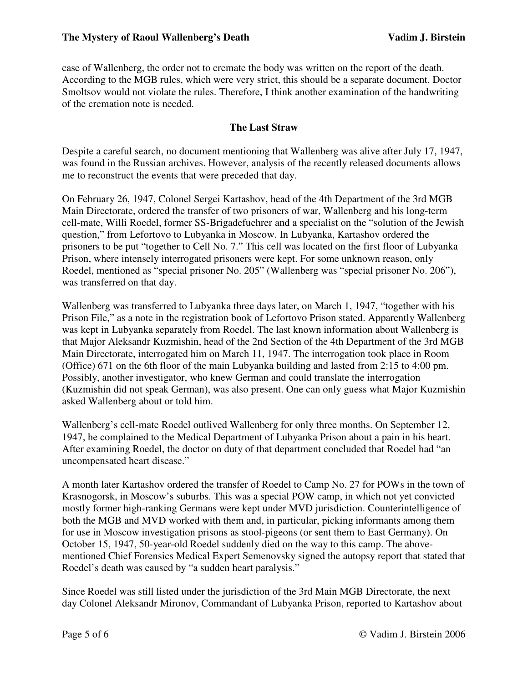case of Wallenberg, the order not to cremate the body was written on the report of the death. According to the MGB rules, which were very strict, this should be a separate document. Doctor Smoltsov would not violate the rules. Therefore, I think another examination of the handwriting of the cremation note is needed.

# **The Last Straw**

Despite a careful search, no document mentioning that Wallenberg was alive after July 17, 1947, was found in the Russian archives. However, analysis of the recently released documents allows me to reconstruct the events that were preceded that day.

On February 26, 1947, Colonel Sergei Kartashov, head of the 4th Department of the 3rd MGB Main Directorate, ordered the transfer of two prisoners of war, Wallenberg and his long-term cell-mate, Willi Roedel, former SS-Brigadefuehrer and a specialist on the "solution of the Jewish question," from Lefortovo to Lubyanka in Moscow. In Lubyanka, Kartashov ordered the prisoners to be put "together to Cell No. 7." This cell was located on the first floor of Lubyanka Prison, where intensely interrogated prisoners were kept. For some unknown reason, only Roedel, mentioned as "special prisoner No. 205" (Wallenberg was "special prisoner No. 206"), was transferred on that day.

Wallenberg was transferred to Lubyanka three days later, on March 1, 1947, "together with his Prison File," as a note in the registration book of Lefortovo Prison stated. Apparently Wallenberg was kept in Lubyanka separately from Roedel. The last known information about Wallenberg is that Major Aleksandr Kuzmishin, head of the 2nd Section of the 4th Department of the 3rd MGB Main Directorate, interrogated him on March 11, 1947. The interrogation took place in Room (Office) 671 on the 6th floor of the main Lubyanka building and lasted from 2:15 to 4:00 pm. Possibly, another investigator, who knew German and could translate the interrogation (Kuzmishin did not speak German), was also present. One can only guess what Major Kuzmishin asked Wallenberg about or told him.

Wallenberg's cell-mate Roedel outlived Wallenberg for only three months. On September 12, 1947, he complained to the Medical Department of Lubyanka Prison about a pain in his heart. After examining Roedel, the doctor on duty of that department concluded that Roedel had "an uncompensated heart disease."

A month later Kartashov ordered the transfer of Roedel to Camp No. 27 for POWs in the town of Krasnogorsk, in Moscow's suburbs. This was a special POW camp, in which not yet convicted mostly former high-ranking Germans were kept under MVD jurisdiction. Counterintelligence of both the MGB and MVD worked with them and, in particular, picking informants among them for use in Moscow investigation prisons as stool-pigeons (or sent them to East Germany). On October 15, 1947, 50-year-old Roedel suddenly died on the way to this camp. The abovementioned Chief Forensics Medical Expert Semenovsky signed the autopsy report that stated that Roedel's death was caused by "a sudden heart paralysis."

Since Roedel was still listed under the jurisdiction of the 3rd Main MGB Directorate, the next day Colonel Aleksandr Mironov, Commandant of Lubyanka Prison, reported to Kartashov about